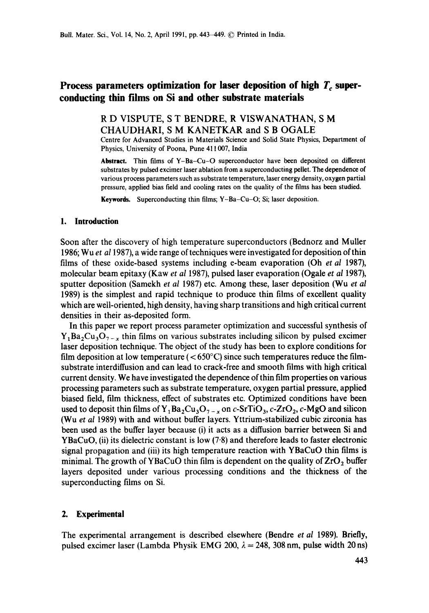# Process parameters optimization for laser deposition of high T<sub>c</sub> super**conducting thin films on Si and other substrate materials**

## R D VISPUTE, S T BENDRE, R VISWANATHAN, S M CHAUDHARI, S M KANETKAR and S B OGALE

Centre for Advanced Studies in Materials Science and Solid State Physics, Department of Physics, University of Poona, Pune 411007, India

**Abstract.** Thin films of Y-Ba-Cu-O superconductor have been deposited on different substrates by pulsed excimer laser ablation from a superconducting pellet. The dependence of various process parameters such as substrate temperature, laser energy density, oxygen partial pressure, applied bias field and cooling rates on the quality of the films has been studied.

Keywords. Superconducting thin films; Y-Ba-Cu-O; Si; laser deposition.

## **1. Introduction**

Soon after the discovery of high temperature superconductors (Bednorz and Muller 1986; W u *et al* 1987), a wide range of techniques were investigated for deposition of thin films of these oxide-based systems including e-beam evaporation (Oh *et al* 1987), molecular beam epitaxy (Kaw *et al* 1987), pulsed laser evaporation (Ogale *et al* 1987), sputter deposition (Samekh *et al* 1987) etc. Among these, laser deposition (Wu *et al*  1989) is the simplest and rapid technique to produce thin films of excellent quality which are well-oriented, high density, having sharp transitions and high critical current densities in their as-deposited form.

In this paper we report process parameter optimization and successful synthesis of  $Y_1Ba_2Cu_3O_{7-x}$  thin films on various substrates including silicon by pulsed excimer laser deposition technique. The object of the study has been to explore conditions for film deposition at low temperature ( $< 650^{\circ}$ C) since such temperatures reduce the filmsubstrate interdiffusion and can lead to crack-free and smooth films with high critical current density. We have investigated the dependence of thin film properties on various processing parameters such as substrate temperature, oxygen partial pressure, applied biased field, film thickness, effect of substrates etc. Optimized conditions have been used to deposit thin films of  $Y_1Ba_2Cu_3O_{7-x}$  on c-SrTiO<sub>3</sub>, c-ZrO<sub>2</sub>, c-MgO and silicon (Wu *et al* 1989) with and without buffer layers. Yttrium-stabilized cubic zirconia has been used as the buffer layer because (i) it acts as a diffusion barrier between Si and YBaCuO, (ii) its dielectric constant is low (7.8) and therefore leads to faster electronic signal propagation and (iii) its high temperature reaction with YBaCuO thin films **is**  minimal. The growth of YBaCuO thin film is dependent on the quality of  $ZrO<sub>2</sub>$  buffer layers deposited under various processing conditions and the thickness of the superconducting films on Si.

## **2. Experimental**

The experimental arrangement is described elsewhere (Bendre *et al* 1989). Briefly, pulsed excimer laser (Lambda Physik EMG 200,  $\lambda = 248$ , 308 nm, pulse width 20 ns)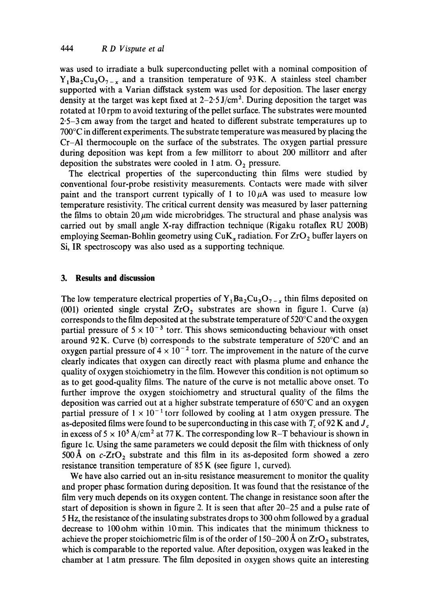was used to irradiate a bulk superconducting pellet with a nominal composition of  $Y_1Ba_2Cu_3O_{7-x}$  and a transition temperature of 93 K. A stainless steel chamber supported with a Varian diffstack system was used for deposition. The laser energy density at the target was kept fixed at  $2-2.5$  J/cm<sup>2</sup>. During deposition the target was rotated at 10 rpm to avoid texturing of the pellet surface. The substrates were mounted 2"5-3 cm away from the target and heated to different substrate temperatures up to 700°C in different experiments. The substrate temperature was measured by placing the Cr-A1 thermocouple on the surface of the substrates. The oxygen partial pressure during deposition was kept from a few millitorr to about 200 millitorr and after deposition the substrates were cooled in 1 atm.  $O_2$  pressure.

The electrical properties of the superconducting thin films were studied by conventional four-probe resistivity measurements. Contacts were made with silver paint and the transport current typically of 1 to  $10\mu A$  was used to measure low temperature resistivity. The critical current density was measured by laser patterning the films to obtain  $20~\mu m$  wide microbridges. The structural and phase analysis was carried out by small angle X-ray diffraction technique (Rigaku rotaflex RU 200B) employing Seeman-Bohlin geometry using  $\text{CuK}_a$  radiation. For  $\text{ZrO}_2$  buffer layers on Si, IR spectroscopy was also used as a supporting technique.

#### **3. Results and discussion**

The low temperature electrical properties of  $Y_1Ba_2Cu_3O_{7-x}$  thin films deposited on (001) oriented single crystal  $ZrO<sub>2</sub>$  substrates are shown in figure 1. Curve (a) corresponds to the film deposited at the substrate temperature of 520°C and the oxygen partial pressure of  $5 \times 10^{-3}$  torr. This shows semiconducting behaviour with onset around 92 K. Curve (b) corresponds to the substrate temperature of 520°C and an oxygen partial pressure of  $4 \times 10^{-2}$  torr. The improvement in the nature of the curve clearly indicates that oxygen can directly react with plasma plume and enhance the quality of oxygen stoichiometry in the film. However this condition is not optimum so as to get good-quality films. The nature of the curve is not metallic above onset. To further improve the oxygen stoichiometry and structural quality of the films the deposition was carried out at a higher substrate temperature of 650°C and an oxygen partial pressure of  $1 \times 10^{-1}$  torr followed by cooling at 1 atm oxygen pressure. The as-deposited films were found to be superconducting in this case with  $T_c$  of 92 K and  $J_c$ in excess of  $5 \times 10^5$  A/cm<sup>2</sup> at 77 K. The corresponding low R-T behaviour is shown in figure lc. Using the same parameters we could deposit the film with thickness of only 500 Å on  $c$ -ZrO<sub>2</sub> substrate and this film in its as-deposited form showed a zero resistance transition temperature of 85 K (see figure 1, curved).

We have also carried out an in-situ resistance measurement to monitor the quality and proper phase formation during deposition. It was found that the resistance of the film very much depends on its oxygen content. The change in resistance soon after the start of deposition is shown in figure 2. It is seen that after 20-25 and a pulse rate of 5 Hz, the resistance of the insulating substrates drops to 300 ohm followed by a gradual decrease to 100ohm within 10min. This indicates that the minimum thickness to achieve the proper stoichiometric film is of the order of 150-200 Å on  $ZrO<sub>2</sub>$  substrates, which is comparable to the reported value. After deposition, oxygen was leaked in the chamber at t atm pressure. The film deposited in oxygen shows quite an interesting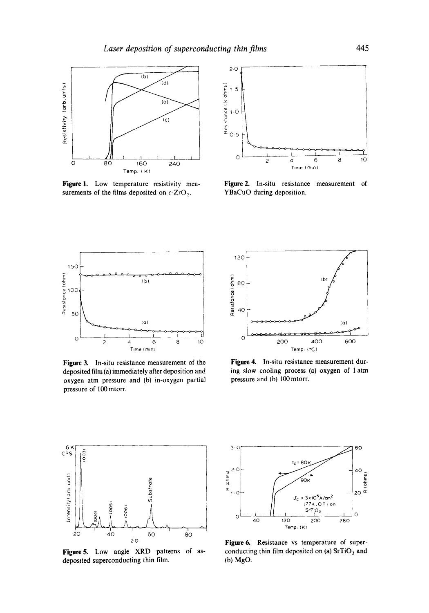

**Figure** 1. Low temperature resistivity measurements of the films deposited on  $c$ -ZrO<sub>2</sub>.



**Figure2.** In-situ resistance measurement of YBaCuO during deposition.



**Figure 3.** In-situ resistance measurement of the deposited film (a) immediately after deposition and oxygen atm pressure and (b) in-oxygen partial pressure of 100 mtorr.



**Figure 4.** In-situ resistance measurement during slow cooling process (a) oxygen of 1 atm pressure and (b) 100mtorr.



Figure 5. Low angle XRD patterns of asdeposited superconducting thin film.



Figure 6. Resistance vs temperature of superconducting thin film deposited on (a)  $SrTiO<sub>3</sub>$  and (b) MgO.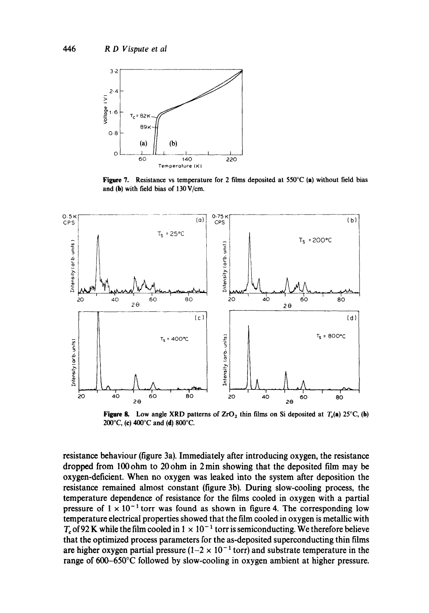

**Figure 7. Resistance vs temperature for 2 films deposited at** 550°C (a) **without field bias and (h) with field bias of** 130V/cm.



**Figure 8.** Low angle XRD patterns of  $ZrO<sub>2</sub>$  thin films on Si deposited at  $T<sub>s</sub>(a) 25°C$ , (b) **200°C, (e) 400°C and (d) 800°C.** 

**resistance behaviour (figure 3a). Immediately after introducing oxygen, the resistance dropped from 100ohm to 20ohm in 2 min showing that the deposited film may be oxygen-deficient. When no oxygen was leaked into the system after deposition the resistance remained almost constant (figure 3b). During slow-cooling process, the temperature dependence of resistance for the films cooled in oxygen with a partial pressure of**  $1 \times 10^{-1}$  **torr was found as shown in figure 4. The corresponding low temperature electrical properties showed that the film cooled in oxygen is metallic with**   $T_c$  of 92 K while the film cooled in  $1 \times 10^{-1}$  torr is semiconducting. We therefore believe **that the optimized process parameters for the as-deposited superconducting thin films**  are higher oxygen partial pressure  $(1-2 \times 10^{-1} \text{ torr})$  and substrate temperature in the **range of 600-650°C followed by slow-cooling in oxygen ambient at higher pressure.**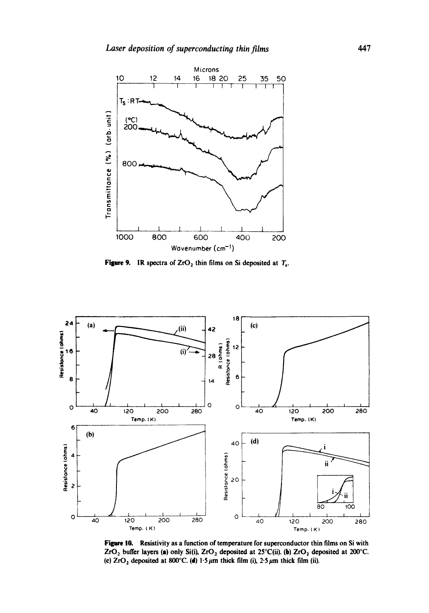

**Figure 9.** IR spectra of  $ZrO<sub>2</sub>$  thin films on Si deposited at  $T<sub>s</sub>$ .



Figure 10. Resistivity as a function of temperature for superconductor thin films on Si with ZrO<sub>2</sub> buffer layers (a) only Si(i), ZrO<sub>2</sub> deposited at 25°C(ii). (b) ZrO<sub>2</sub> deposited at 200°C. (c)  $ZrO<sub>2</sub>$  deposited at 800°C. (d) 1.5  $\mu$ m thick film (i), 2.5  $\mu$ m thick film (ii).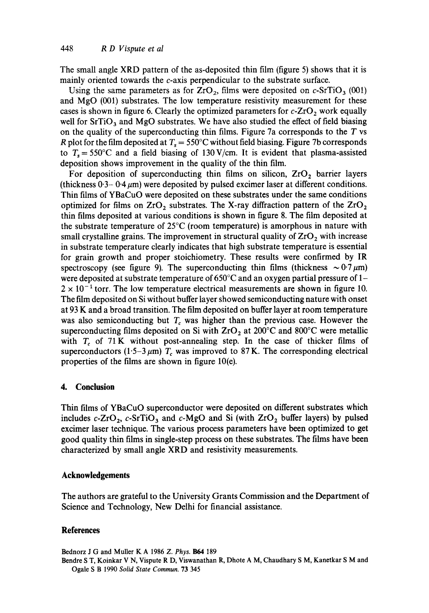The small angle XRD pattern of the as-deposited thin film (figure 5) shows that it is mainly oriented towards the c-axis perpendicular to the substrate surface.

Using the same parameters as for  $ZrO_2$ , films were deposited on c-SrTiO<sub>3</sub> (001) and MgO (001) substrates. The low temperature resistivity measurement for these cases is shown in figure 6. Clearly the optimized parameters for  $c$ - $ZrO<sub>2</sub>$  work equally well for  $SrTiO<sub>3</sub>$  and MgO substrates. We have also studied the effect of field biasing on the quality of the superconducting thin films. Figure 7a corresponds to the  $T$  vs R plot for the film deposited at  $T_s = 550^{\circ}$ C without field biasing. Figure 7b corresponds to  $T_s = 550^{\circ}\text{C}$  and a field biasing of 130 V/cm. It is evident that plasma-assisted deposition shows improvement in the quality of the thin film.

For deposition of superconducting thin films on silicon,  $ZrO<sub>2</sub>$  barrier layers (thickness  $0.3 - 0.4 \mu m$ ) were deposited by pulsed excimer laser at different conditions. Thin films of YBaCuO were deposited on these substrates under the same conditions optimized for films on  $ZrO<sub>2</sub>$  substrates. The X-ray diffraction pattern of the  $ZrO<sub>2</sub>$ thin films deposited at various conditions is shown in figure 8. The film deposited at the substrate temperature of 25°C (room temperature) is amorphous in nature with small crystalline grains. The improvement in structural quality of  $ZrO<sub>2</sub>$  with increase in substrate temperature clearly indicates that high substrate temperature is essential for grain growth and proper stoichiometry. These results were confirmed by IR spectroscopy (see figure 9). The superconducting thin films (thickness  $\sim 0.7 \mu m$ ) were deposited at substrate temperature of 650°C and an oxygen partial pressure of 1-  $2 \times 10^{-1}$  torr. The low temperature electrical measurements are shown in figure 10. The film deposited on Si without buffer layer showed semiconducting nature with onset at 93 K and a broad transition. The film deposited on buffer layer at room temperature was also semiconducting but  $T_c$  was higher than the previous case. However the superconducting films deposited on Si with  $ZrO<sub>2</sub>$  at 200°C and 800°C were metallic with  $T_c$  of 71 K without post-annealing step. In the case of thicker films of superconductors (1.5-3  $\mu$ m)  $T_c$  was improved to 87 K. The corresponding electrical properties of the films are shown in figure 10(e).

### **4. Conclusion**

Thin films of YBaCuO superconductor were deposited on different substrates which includes c-ZrO<sub>2</sub>, c-SrTiO<sub>3</sub> and c-MgO and Si (with ZrO<sub>2</sub> buffer layers) by pulsed excimer laser technique. The various process parameters have been optimized to get good quality thin films in single-step process on these substrates. The films have been characterized by small angle XRD and resistivity measurements.

## **Acknowledgements**

The authors are grateful to the University Grants Commission and the Department of Science and Technology, New Delhi for financial assistance.

## **References**

Bednorz J G and Muller K A 1986 Z. *phys. B64* 189

Bendre S T, Koinkar V N, Vispute R D, Viswanathan R, Dhote A M, Chaudhary S M, Kanetkar S M and Ogale S B 1990 *Solid State Commun.* 73 345